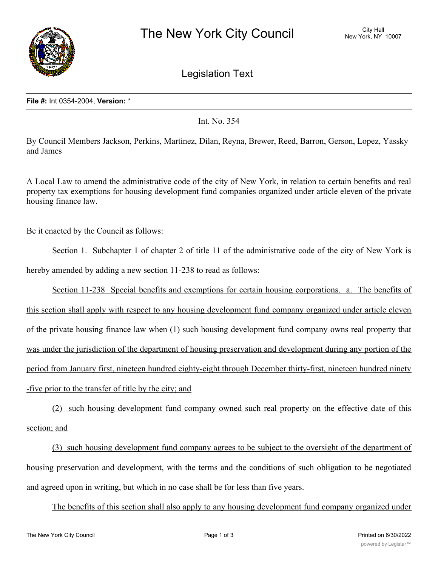

Legislation Text

## **File #:** Int 0354-2004, **Version:** \*

Int. No. 354

By Council Members Jackson, Perkins, Martinez, Dilan, Reyna, Brewer, Reed, Barron, Gerson, Lopez, Yassky and James

A Local Law to amend the administrative code of the city of New York, in relation to certain benefits and real property tax exemptions for housing development fund companies organized under article eleven of the private housing finance law.

## Be it enacted by the Council as follows:

Section 1. Subchapter 1 of chapter 2 of title 11 of the administrative code of the city of New York is hereby amended by adding a new section 11-238 to read as follows:

Section 11-238 Special benefits and exemptions for certain housing corporations. a. The benefits of this section shall apply with respect to any housing development fund company organized under article eleven of the private housing finance law when (1) such housing development fund company owns real property that was under the jurisdiction of the department of housing preservation and development during any portion of the period from January first, nineteen hundred eighty-eight through December thirty-first, nineteen hundred ninety -five prior to the transfer of title by the city; and

(2) such housing development fund company owned such real property on the effective date of this section; and

(3) such housing development fund company agrees to be subject to the oversight of the department of housing preservation and development, with the terms and the conditions of such obligation to be negotiated and agreed upon in writing, but which in no case shall be for less than five years.

The benefits of this section shall also apply to any housing development fund company organized under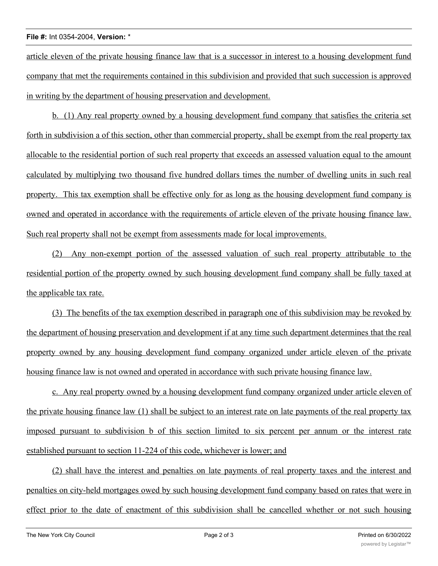## **File #:** Int 0354-2004, **Version:** \*

article eleven of the private housing finance law that is a successor in interest to a housing development fund company that met the requirements contained in this subdivision and provided that such succession is approved in writing by the department of housing preservation and development.

b. (1) Any real property owned by a housing development fund company that satisfies the criteria set forth in subdivision a of this section, other than commercial property, shall be exempt from the real property tax allocable to the residential portion of such real property that exceeds an assessed valuation equal to the amount calculated by multiplying two thousand five hundred dollars times the number of dwelling units in such real property. This tax exemption shall be effective only for as long as the housing development fund company is owned and operated in accordance with the requirements of article eleven of the private housing finance law. Such real property shall not be exempt from assessments made for local improvements.

(2) Any non-exempt portion of the assessed valuation of such real property attributable to the residential portion of the property owned by such housing development fund company shall be fully taxed at the applicable tax rate.

(3) The benefits of the tax exemption described in paragraph one of this subdivision may be revoked by the department of housing preservation and development if at any time such department determines that the real property owned by any housing development fund company organized under article eleven of the private housing finance law is not owned and operated in accordance with such private housing finance law.

c. Any real property owned by a housing development fund company organized under article eleven of the private housing finance law (1) shall be subject to an interest rate on late payments of the real property tax imposed pursuant to subdivision b of this section limited to six percent per annum or the interest rate established pursuant to section 11-224 of this code, whichever is lower; and

(2) shall have the interest and penalties on late payments of real property taxes and the interest and penalties on city-held mortgages owed by such housing development fund company based on rates that were in effect prior to the date of enactment of this subdivision shall be cancelled whether or not such housing